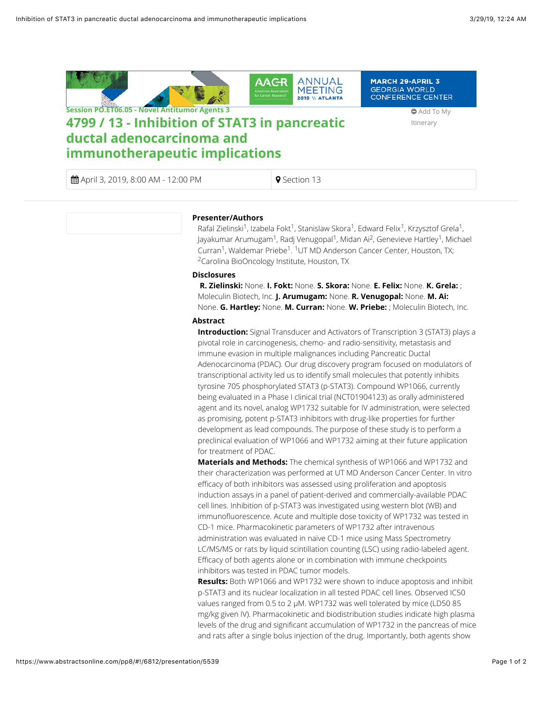

 $\bigoplus$  April 3, 2019, 8:00 AM - 12:00 PM  $\bigcirc$  Section 13

## **Presenter/Authors**

Rafal Zielinski<sup>1</sup>, Izabela Fokt<sup>1</sup>, Stanislaw Skora<sup>1</sup>, Edward Felix<sup>1</sup>, Krzysztof Grela<sup>1</sup>, Jayakumar Arumugam<sup>1</sup>, Radj Venugopal<sup>1</sup>, Midan Ai<sup>2</sup>, Genevieve Hartley<sup>1</sup>, Michael Curran<sup>1</sup>, Waldemar Priebe<sup>1</sup>. <sup>1</sup>UT MD Anderson Cancer Center, Houston, TX; <sup>2</sup>Carolina BioOncology Institute, Houston, TX

## **Disclosures**

**R. Zielinski:** None. **I. Fokt:** None. **S. Skora:** None. **E. Felix:** None. **K. Grela:** ; Moleculin Biotech, Inc. **J. Arumugam:** None. **R. Venugopal:** None. **M. Ai:** None. **G. Hartley:** None. **M. Curran:** None. **W. Priebe:** ; Moleculin Biotech, Inc.

## **Abstract**

**Introduction:** Signal Transducer and Activators of Transcription 3 (STAT3) plays a pivotal role in carcinogenesis, chemo- and radio-sensitivity, metastasis and immune evasion in multiple malignances including Pancreatic Ductal Adenocarcinoma (PDAC). Our drug discovery program focused on modulators of transcriptional activity led us to identify small molecules that potently inhibits tyrosine 705 phosphorylated STAT3 (p-STAT3). Compound WP1066, currently being evaluated in a Phase I clinical trial (NCT01904123) as orally administered agent and its novel, analog WP1732 suitable for IV administration, were selected as promising, potent p-STAT3 inhibitors with drug-like properties for further development as lead compounds. The purpose of these study is to perform a preclinical evaluation of WP1066 and WP1732 aiming at their future application for treatment of PDAC.

**Materials and Methods:** The chemical synthesis of WP1066 and WP1732 and their characterization was performed at UT MD Anderson Cancer Center. In vitro efficacy of both inhibitors was assessed using proliferation and apoptosis induction assays in a panel of patient-derived and commercially-available PDAC cell lines. Inhibition of p-STAT3 was investigated using western blot (WB) and immunofluorescence. Acute and multiple dose toxicity of WP1732 was tested in CD-1 mice. Pharmacokinetic parameters of WP1732 after intravenous administration was evaluated in naïve CD-1 mice using Mass Spectrometry LC/MS/MS or rats by liquid scintillation counting (LSC) using radio-labeled agent. Efficacy of both agents alone or in combination with immune checkpoints inhibitors was tested in PDAC tumor models.

**Results:** Both WP1066 and WP1732 were shown to induce apoptosis and inhibit p-STAT3 and its nuclear localization in all tested PDAC cell lines. Observed IC50 values ranged from 0.5 to 2 µM. WP1732 was well tolerated by mice (LD50 85 mg/kg given IV). Pharmacokinetic and biodistribution studies indicate high plasma levels of the drug and significant accumulation of WP1732 in the pancreas of mice and rats after a single bolus injection of the drug. Importantly, both agents show